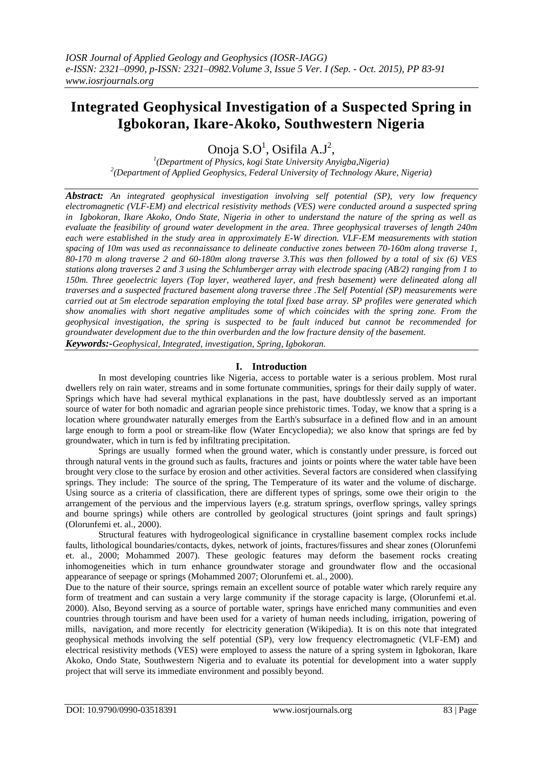# **Integrated Geophysical Investigation of a Suspected Spring in Igbokoran, Ikare-Akoko, Southwestern Nigeria**

Onoja  $S.O^1$ , Osifila A.J<sup>2</sup>,

*1 (Department of Physics, kogi State University Anyigba,Nigeria) 2 (Department of Applied Geophysics, Federal University of Technology Akure, Nigeria)*

*Abstract: An integrated geophysical investigation involving self potential (SP), very low frequency electromagnetic (VLF-EM) and electrical resistivity methods (VES) were conducted around a suspected spring in Igbokoran, Ikare Akoko, Ondo State, Nigeria in other to understand the nature of the spring as well as evaluate the feasibility of ground water development in the area. Three geophysical traverses of length 240m each were established in the study area in approximately E-W direction. VLF-EM measurements with station spacing of 10m was used as reconnaissance to delineate conductive zones between 70-160m along traverse 1, 80-170 m along traverse 2 and 60-180m along traverse 3.This was then followed by a total of six (6) VES stations along traverses 2 and 3 using the Schlumberger array with electrode spacing (AB/2) ranging from 1 to 150m. Three geoelectric layers (Top layer, weathered layer, and fresh basement) were delineated along all traverses and a suspected fractured basement along traverse three .The Self Potential (SP) measurements were carried out at 5m electrode separation employing the total fixed base array. SP profiles were generated which show anomalies with short negative amplitudes some of which coincides with the spring zone. From the geophysical investigation, the spring is suspected to be fault induced but cannot be recommended for groundwater development due to the thin overburden and the low fracture density of the basement.*

*Keywords:-Geophysical, Integrated, investigation, Spring, Igbokoran.*

# **I. Introduction**

In most developing countries like Nigeria, access to portable water is a serious problem. Most rural dwellers rely on rain water, streams and in some fortunate communities, springs for their daily supply of water. Springs which have had several mythical explanations in the past, have doubtlessly served as an important source of water for both nomadic and agrarian people since prehistoric times. Today, we know that a spring is a location where [groundwater](http://www.waterencyclopedia.com/Ge-Hy/Groundwater.html) naturally emerges from the Earth's subsurface in a defined flow and in an amount large enough to form a pool or stream-like flow (Water Encyclopedia); we also know that springs are fed by groundwater, which in turn is fed by infiltrating precipitation.

Springs are usually formed when the ground water, which is constantly under pressure, is forced out through natural vents in the ground such as faults, fractures and joints or points where the water table have been brought very close to the surface by erosion and other activities. Several factors are considered when classifying springs. They include: The source of the spring, The Temperature of its water and the volume of discharge. Using source as a criteria of classification, there are different types of springs, some owe their origin to the arrangement of the pervious and the impervious layers (e.g. stratum springs, overflow springs, valley springs and bourne springs) while others are controlled by geological structures (joint springs and fault springs) (Olorunfemi et. al., 2000).

Structural features with hydrogeological significance in crystalline basement complex rocks include faults, lithological boundaries/contacts, dykes, network of joints, fractures/fissures and shear zones (Olorunfemi et. al., 2000; Mohammed 2007). These geologic features may deform the basement rocks creating inhomogeneities which in turn enhance groundwater storage and groundwater flow and the occasional appearance of seepage or springs (Mohammed 2007; Olorunfemi et. al., 2000).

Due to the nature of their source, springs remain an excellent source of potable water which rarely require any form of treatment and can sustain a very large community if the storage capacity is large, (Olorunfemi et.al. 2000). Also, Beyond serving as a source of portable water, springs have enriched many communities and even countries through tourism and have been used for a variety of human needs including, irrigation, powering of [mills,](http://en.wikipedia.org/wiki/Watermill) navigation, and more recently for electricity generation (Wikipedia). It is on this note that integrated geophysical methods involving the self potential (SP), very low frequency electromagnetic (VLF-EM) and electrical resistivity methods (VES) were employed to assess the nature of a spring system in Igbokoran, Ikare Akoko, Ondo State, Southwestern Nigeria and to evaluate its potential for development into a water supply project that will serve its immediate environment and possibly beyond.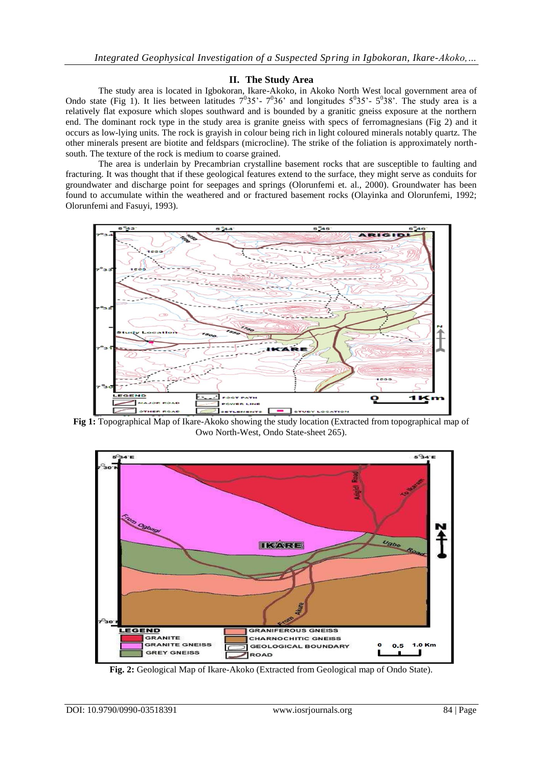## **II. The Study Area**

The study area is located in Igbokoran, Ikare-Akoko, in Akoko North West local government area of Ondo state (Fig 1). It lies between latitudes  $7^035'$ -  $7^036'$  and longitudes  $5^035'$ -  $5^038'$ . The study area is a relatively flat exposure which slopes southward and is bounded by a granitic gneiss exposure at the northern end. The dominant rock type in the study area is granite gneiss with specs of ferromagnesians (Fig 2) and it occurs as low-lying units. The rock is grayish in colour being rich in light coloured minerals notably quartz. The other minerals present are biotite and feldspars (microcline). The strike of the foliation is approximately northsouth. The texture of the rock is medium to coarse grained.

The area is underlain by Precambrian crystalline basement rocks that are susceptible to faulting and fracturing. It was thought that if these geological features extend to the surface, they might serve as conduits for groundwater and discharge point for seepages and springs (Olorunfemi et. al., 2000). Groundwater has been found to accumulate within the weathered and or fractured basement rocks (Olayinka and Olorunfemi, 1992; Olorunfemi and Fasuyi, 1993).



**Fig 1:** Topographical Map of Ikare-Akoko showing the study location (Extracted from topographical map of Owo North-West, Ondo State-sheet 265).



**Fig. 2:** Geological Map of Ikare-Akoko (Extracted from Geological map of Ondo State).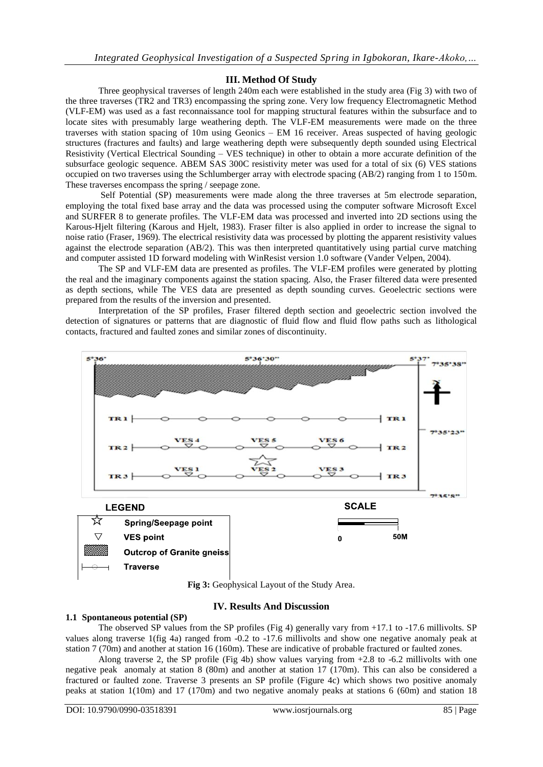# **III. Method Of Study**

Three geophysical traverses of length 240m each were established in the study area (Fig 3) with two of the three traverses (TR2 and TR3) encompassing the spring zone. Very low frequency Electromagnetic Method (VLF-EM) was used as a fast reconnaissance tool for mapping structural features within the subsurface and to locate sites with presumably large weathering depth. The VLF-EM measurements were made on the three traverses with station spacing of 10m using Geonics – EM 16 receiver. Areas suspected of having geologic structures (fractures and faults) and large weathering depth were subsequently depth sounded using Electrical Resistivity (Vertical Electrical Sounding – VES technique) in other to obtain a more accurate definition of the subsurface geologic sequence. ABEM SAS 300C resistivity meter was used for a total of six (6) VES stations occupied on two traverses using the Schlumberger array with electrode spacing (AB/2) ranging from 1 to 150m. These traverses encompass the spring / seepage zone.

Self Potential (SP) measurements were made along the three traverses at 5m electrode separation, employing the total fixed base array and the data was processed using the computer software Microsoft Excel and SURFER 8 to generate profiles. The VLF-EM data was processed and inverted into 2D sections using the Karous-Hjelt filtering (Karous and Hjelt, 1983). Fraser filter is also applied in order to increase the signal to noise ratio (Fraser, 1969). The electrical resistivity data was processed by plotting the apparent resistivity values against the electrode separation (AB/2). This was then interpreted quantitatively using partial curve matching and computer assisted 1D forward modeling with WinResist version 1.0 software (Vander Velpen, 2004).

The SP and VLF-EM data are presented as profiles. The VLF-EM profiles were generated by plotting the real and the imaginary components against the station spacing. Also, the Fraser filtered data were presented as depth sections, while The VES data are presented as depth sounding curves. Geoelectric sections were prepared from the results of the inversion and presented.

Interpretation of the SP profiles, Fraser filtered depth section and geoelectric section involved the detection of signatures or patterns that are diagnostic of fluid flow and fluid flow paths such as lithological contacts, fractured and faulted zones and similar zones of discontinuity.



**Fig 3:** Geophysical Layout of the Study Area.

### **IV. Results And Discussion**

#### **1.1 Spontaneous potential (SP)**

The observed SP values from the SP profiles (Fig 4) generally vary from +17.1 to -17.6 millivolts. SP values along traverse 1(fig 4a) ranged from -0.2 to -17.6 millivolts and show one negative anomaly peak at station 7 (70m) and another at station 16 (160m). These are indicative of probable fractured or faulted zones.

Along traverse 2, the SP profile (Fig 4b) show values varying from  $+2.8$  to  $-6.2$  millivolts with one negative peak anomaly at station 8 (80m) and another at station 17 (170m). This can also be considered a fractured or faulted zone. Traverse 3 presents an SP profile (Figure 4c) which shows two positive anomaly peaks at station 1(10m) and 17 (170m) and two negative anomaly peaks at stations 6 (60m) and station 18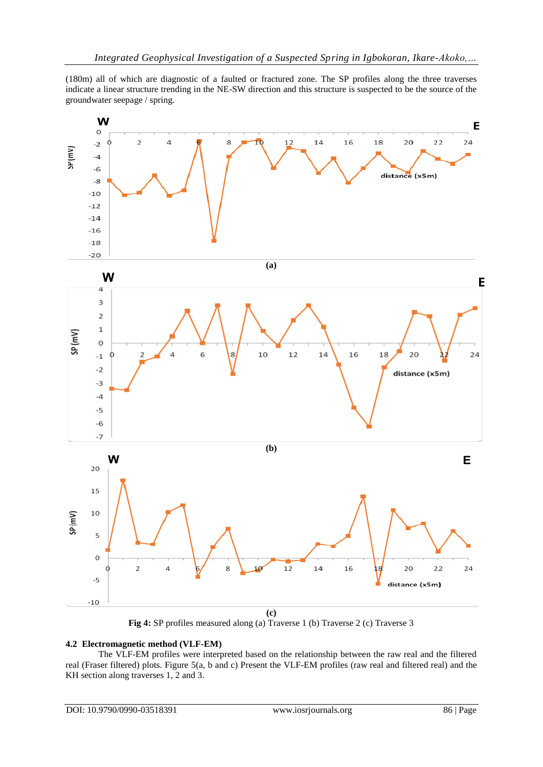(180m) all of which are diagnostic of a faulted or fractured zone. The SP profiles along the three traverses indicate a linear structure trending in the NE-SW direction and this structure is suspected to be the source of the groundwater seepage / spring.



**Fig 4:** SP profiles measured along (a) Traverse 1 (b) Traverse 2 (c) Traverse 3

### **4.2 Electromagnetic method (VLF-EM)**

The VLF-EM profiles were interpreted based on the relationship between the raw real and the filtered real (Fraser filtered) plots. Figure 5(a, b and c) Present the VLF-EM profiles (raw real and filtered real) and the KH section along traverses 1, 2 and 3.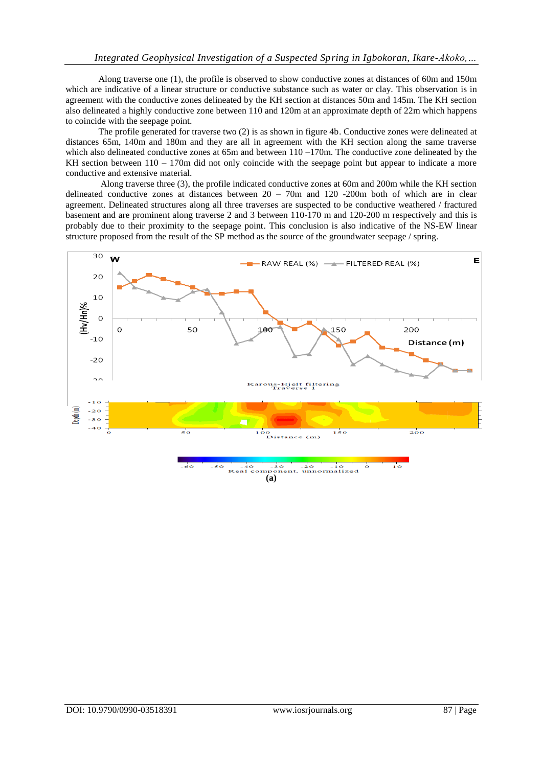Along traverse one (1), the profile is observed to show conductive zones at distances of 60m and 150m which are indicative of a linear structure or conductive substance such as water or clay. This observation is in agreement with the conductive zones delineated by the KH section at distances 50m and 145m. The KH section also delineated a highly conductive zone between 110 and 120m at an approximate depth of 22m which happens to coincide with the seepage point.

The profile generated for traverse two (2) is as shown in figure 4b. Conductive zones were delineated at distances 65m, 140m and 180m and they are all in agreement with the KH section along the same traverse which also delineated conductive zones at 65m and between  $110 - 170$ m. The conductive zone delineated by the KH section between  $110 - 170$ m did not only coincide with the seepage point but appear to indicate a more conductive and extensive material.

Along traverse three (3), the profile indicated conductive zones at 60m and 200m while the KH section delineated conductive zones at distances between 20 – 70m and 120 -200m both of which are in clear agreement. Delineated structures along all three traverses are suspected to be conductive weathered / fractured basement and are prominent along traverse 2 and 3 between 110-170 m and 120-200 m respectively and this is probably due to their proximity to the seepage point. This conclusion is also indicative of the NS-EW linear structure proposed from the result of the SP method as the source of the groundwater seepage / spring.



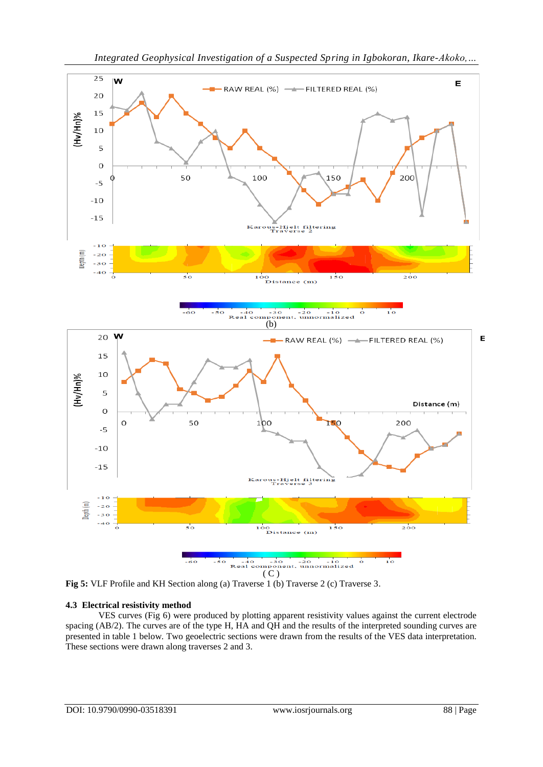

**Fig 5:** VLF Profile and KH Section along (a) Traverse 1 (b) Traverse 2 (c) Traverse 3.

### **4.3 Electrical resistivity method**

VES curves (Fig 6) were produced by plotting apparent resistivity values against the current electrode spacing (AB/2). The curves are of the type H, HA and QH and the results of the interpreted sounding curves are presented in table 1 below. Two geoelectric sections were drawn from the results of the VES data interpretation. These sections were drawn along traverses 2 and 3.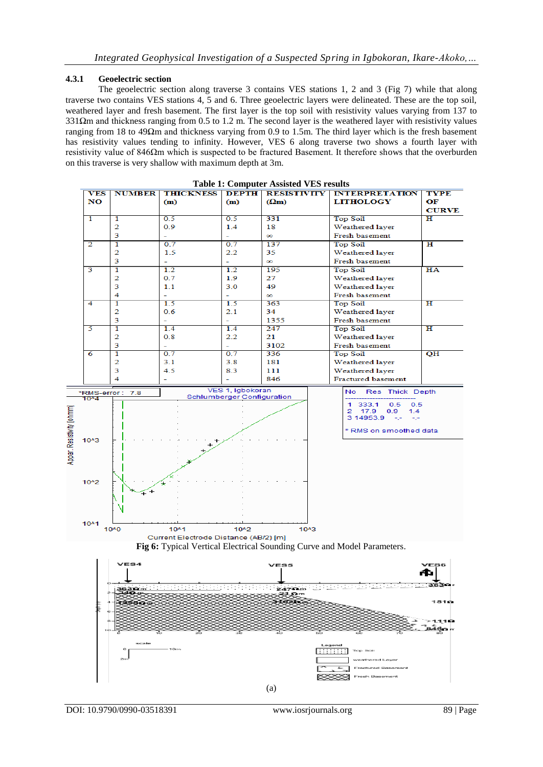#### **4.3.1 Geoelectric section**

The geoelectric section along traverse 3 contains VES stations 1, 2 and 3 (Fig 7) while that along traverse two contains VES stations 4, 5 and 6. Three geoelectric layers were delineated. These are the top soil, weathered layer and fresh basement. The first layer is the top soil with resistivity values varying from 137 to 331Ωm and thickness ranging from 0.5 to 1.2 m. The second layer is the weathered layer with resistivity values ranging from 18 to 49Ωm and thickness varying from 0.9 to 1.5m. The third layer which is the fresh basement has resistivity values tending to infinity. However, VES 6 along traverse two shows a fourth layer with resistivity value of 846Ωm which is suspected to be fractured Basement. It therefore shows that the overburden on this traverse is very shallow with maximum depth at 3m.





**BEEFEED** г

e

(a)

1810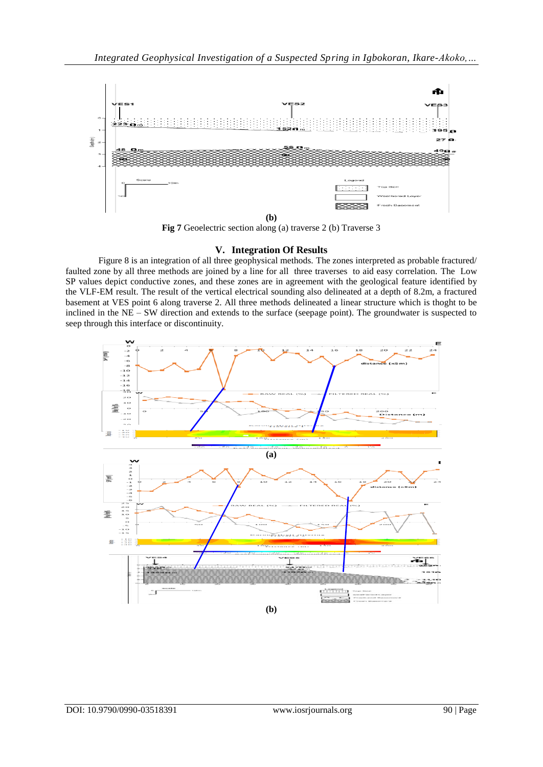

**Fig 7** Geoelectric section along (a) traverse 2 (b) Traverse 3

### **V. Integration Of Results**

Figure 8 is an integration of all three geophysical methods. The zones interpreted as probable fractured/ faulted zone by all three methods are joined by a line for all three traverses to aid easy correlation. The Low SP values depict conductive zones, and these zones are in agreement with the geological feature identified by the VLF-EM result. The result of the vertical electrical sounding also delineated at a depth of 8.2m, a fractured basement at VES point 6 along traverse 2. All three methods delineated a linear structure which is thoght to be inclined in the NE – SW direction and extends to the surface (seepage point). The groundwater is suspected to seep through this interface or discontinuity.